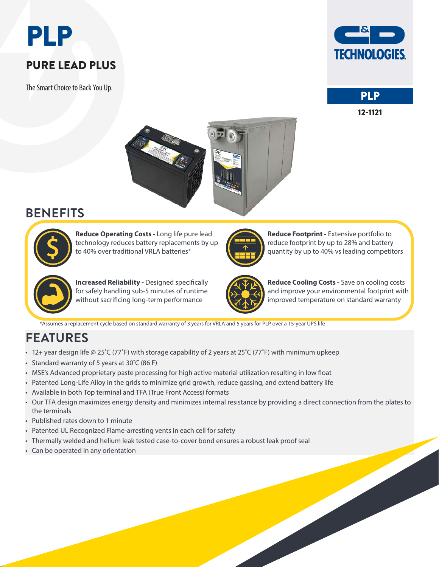# PLP

## PURE LEAD PLUS

The Smart Choice to Back You Up.







## **BENEFITS**



**Reduce Operating Costs -** Long life pure lead technology reduces battery replacements by up to 40% over traditional VRLA batteries\*



**Reduce Footprint -** Extensive portfolio to reduce footprint by up to 28% and battery quantity by up to 40% vs leading competitors



**Increased Reliability -** Designed specifically for safely handling sub-5 minutes of runtime without sacrificing long-term performance



**Reduce Cooling Costs -** Save on cooling costs and improve your environmental footprint with improved temperature on standard warranty

\*Assumes a replacement cycle based on standard warranty of 3 years for VRLA and 5 years for PLP over a 15-year UPS life

# **FEATURES**

- 12+ year design life @ 25˚C (77˚F) with storage capability of 2 years at 25˚C (77˚F) with minimum upkeep
- Standard warranty of 5 years at 30˚C (86 F)
- MSE's Advanced proprietary paste processing for high active material utilization resulting in low float
- Patented Long-Life Alloy in the grids to minimize grid growth, reduce gassing, and extend battery life
- Available in both Top terminal and TFA (True Front Access) formats
- Our TFA design maximizes energy density and minimizes internal resistance by providing a direct connection from the plates to the terminals
- Published rates down to 1 minute
- Patented UL Recognized Flame-arresting vents in each cell for safety
- Thermally welded and helium leak tested case-to-cover bond ensures a robust leak proof seal
- Can be operated in any orientation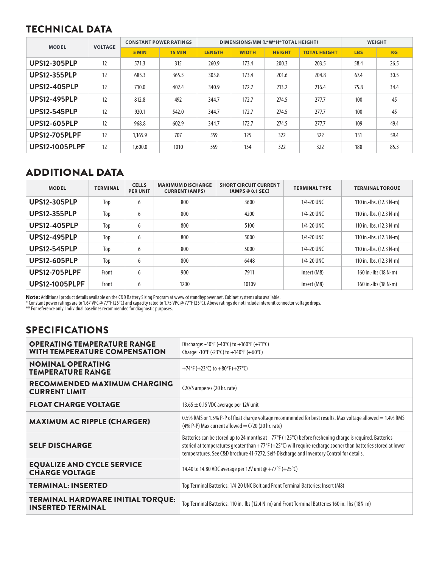#### TECHNICAL DATA

| <b>MODEL</b>          | <b>VOLTAGE</b> | <b>CONSTANT POWER RATINGS</b> |               |               |              | DIMENSIONS/MM (L*W*H*TOTAL HEIGHT) |                     | <b>WEIGHT</b> |      |  |
|-----------------------|----------------|-------------------------------|---------------|---------------|--------------|------------------------------------|---------------------|---------------|------|--|
|                       |                | 5 MIN                         | <b>15 MIN</b> | <b>LENGTH</b> | <b>WIDTH</b> | <b>HEIGHT</b>                      | <b>TOTAL HEIGHT</b> | <b>LBS</b>    | KG   |  |
| <b>UPS12-305PLP</b>   | 12             | 571.3                         | 315           | 260.9         | 173.4        | 200.3                              | 203.5               | 58.4          | 26.5 |  |
| <b>UPS12-355PLP</b>   | 12             | 685.3                         | 365.5         | 305.8         | 173.4        | 201.6                              | 204.8               | 67.4          | 30.5 |  |
| <b>UPS12-405PLP</b>   | 12             | 710.0                         | 402.4         | 340.9         | 172.7        | 213.2                              | 216.4               | 75.8          | 34.4 |  |
| <b>UPS12-495PLP</b>   | 12             | 812.8                         | 492           | 344.7         | 172.7        | 274.5                              | 277.7               | 100           | 45   |  |
| <b>UPS12-545PLP</b>   | 12             | 920.1                         | 542.0         | 344.7         | 172.7        | 274.5                              | 277.7               | 100           | 45   |  |
| <b>UPS12-605PLP</b>   | 12             | 968.8                         | 602.9         | 344.7         | 172.7        | 274.5                              | 277.7               | 109           | 49.4 |  |
| <b>UPS12-705PLPF</b>  | 12             | 1,165.9                       | 707           | 559           | 125          | 322                                | 322                 | 131           | 59.4 |  |
| <b>UPS12-1005PLPF</b> | 12             | 1,600.0                       | 1010          | 559           | 154          | 322                                | 322                 | 188           | 85.3 |  |

#### ADDITIONAL DATA

| <b>MODEL</b>          | <b>TERMINAL</b> | <b>CELLS</b><br><b>PER UNIT</b> | <b>MAXIMUM DISCHARGE</b><br><b>CURRENT (AMPS)</b> | <b>SHORT CIRCUIT CURRENT</b><br>(AMPS @ 0.1 SEC) | <b>TERMINAL TYPE</b> | <b>TERMINAL TOROUE</b>    |
|-----------------------|-----------------|---------------------------------|---------------------------------------------------|--------------------------------------------------|----------------------|---------------------------|
| <b>UPS12-305PLP</b>   | Top             | 6                               | 800                                               | 3600                                             | 1/4-20 UNC           | 110 in.-lbs. $(12.3 N-m)$ |
| <b>UPS12-355PLP</b>   | Top             | 6                               | 800                                               | 4200                                             | 1/4-20 UNC           | 110 in.-lbs. $(12.3 N-m)$ |
| <b>UPS12-405PLP</b>   | Top             | 6                               | 800                                               | 5100                                             | 1/4-20 UNC           | 110 in.-lbs. $(12.3 N-m)$ |
| <b>UPS12-495PLP</b>   | Top             | 6                               | 800                                               | 5000                                             | 1/4-20 UNC           | 110 in.-lbs. $(12.3 N-m)$ |
| <b>UPS12-545PLP</b>   | Top             | 6                               | 800                                               | 5000                                             | 1/4-20 UNC           | 110 in.-lbs. $(12.3 N-m)$ |
| <b>UPS12-605PLP</b>   | Top             | 6                               | 800                                               | 6448                                             | 1/4-20 UNC           | 110 in.-lbs. (12.3 N-m)   |
| <b>UPS12-705PLPF</b>  | Front           | 6                               | 900                                               | 7911                                             | Insert (M8)          | 160 in.-lbs (18 N-m)      |
| <b>UPS12-1005PLPF</b> | Front           | 6                               | 1200                                              | 10109                                            | Insert (M8)          | 160 in.-lbs (18 N-m)      |

**Note:** Additional product details available on the C&D Battery Sizing Program at www.cdstandbypower.net. Cabinet systems also available.

\* Constant power ratings are to 1.67 VPC @ 77°F (25°C) and capacity rated to 1.75 VPC @ 77°F (25°C). Above ratings do not include interunit connector voltage drops.

\*\* For reference only. Individual baselines recommended for diagnostic purposes.

#### SPECIFICATIONS

| <b>OPERATING TEMPERATURE RANGE</b><br><b>WITH TEMPERATURE COMPENSATION</b> | Discharge: -40°F (-40°C) to $+160$ °F (+71°C)<br>Charge: -10°F (-23°C) to +140°F (+60°C)                                                                                                                                                                                                                                                                        |
|----------------------------------------------------------------------------|-----------------------------------------------------------------------------------------------------------------------------------------------------------------------------------------------------------------------------------------------------------------------------------------------------------------------------------------------------------------|
| <b>NOMINAL OPERATING</b><br><b>TEMPERATURE RANGE</b>                       | +74°F (+23°C) to +80°F (+27°C)                                                                                                                                                                                                                                                                                                                                  |
| RECOMMENDED MAXIMUM CHARGING<br><b>CURRENT LIMIT</b>                       | C20/5 amperes (20 hr. rate)                                                                                                                                                                                                                                                                                                                                     |
| <b>FLOAT CHARGE VOLTAGE</b>                                                | 13.65 $\pm$ 0.15 VDC average per 12V unit                                                                                                                                                                                                                                                                                                                       |
| <b>MAXIMUM AC RIPPLE (CHARGER)</b>                                         | 0.5% RMS or 1.5% P-P of float charge voltage recommended for best results. Max voltage allowed = 1.4% RMS<br>$(4% P-P)$ Max current allowed = $C/20$ (20 hr. rate)                                                                                                                                                                                              |
| <b>SELF DISCHARGE</b>                                                      | Batteries can be stored up to 24 months at $+77^{\circ}F$ ( $+25^{\circ}C$ ) before freshening charge is required. Batteries<br>storied at temperatures greater than $+77^{\circ}F$ ( $+25^{\circ}C$ ) will require recharge sooner than batteries stored at lower<br>temperatures. See C&D brochure 41-7272, Self-Discharge and Inventory Control for details. |
| <b>EQUALIZE AND CYCLE SERVICE</b><br><b>CHARGE VOLTAGE</b>                 | 14.40 to 14.80 VDC average per 12V unit @ +77°F (+25°C)                                                                                                                                                                                                                                                                                                         |
| <b>TERMINAL: INSERTED</b>                                                  | Top Terminal Batteries: 1/4-20 UNC Bolt and Front Terminal Batteries: Insert (M8)                                                                                                                                                                                                                                                                               |
| <b>TERMINAL HARDWARE INITIAL TORQUE:</b><br><b>INSERTED TERMINAL</b>       | Top Terminal Batteries: 110 in.-Ibs (12.4 N-m) and Front Terminal Batteries 160 in.-Ibs (18N-m)                                                                                                                                                                                                                                                                 |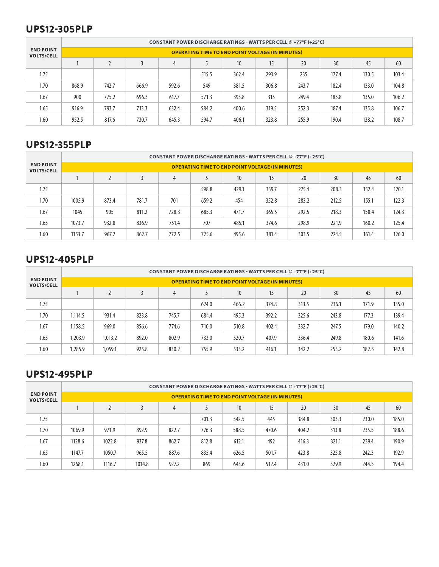#### UPS12-305PLP

|                                       |       | CONSTANT POWER DISCHARGE RATINGS - WATTS PER CELL @ +77°F (+25°C) |       |       |       |       |       |       |       |       |       |  |  |  |  |
|---------------------------------------|-------|-------------------------------------------------------------------|-------|-------|-------|-------|-------|-------|-------|-------|-------|--|--|--|--|
| <b>END POINT</b><br><b>VOLTS/CELL</b> |       | <b>OPERATING TIME TO END POINT VOLTAGE (IN MINUTES)</b>           |       |       |       |       |       |       |       |       |       |  |  |  |  |
|                                       |       |                                                                   |       | 4     |       | 10    | 15    | 20    | 30    | 45    | 60    |  |  |  |  |
| 1.75                                  |       |                                                                   |       |       | 515.5 | 362.4 | 293.9 | 235   | 177.4 | 130.5 | 103.4 |  |  |  |  |
| 1.70                                  | 868.9 | 742.7                                                             | 666.9 | 592.6 | 549   | 381.5 | 306.8 | 243.7 | 182.4 | 133.0 | 104.8 |  |  |  |  |
| 1.67                                  | 900   | 775.2                                                             | 696.3 | 617.7 | 571.3 | 393.8 | 315   | 249.4 | 185.8 | 135.0 | 106.2 |  |  |  |  |
| 1.65                                  | 916.9 | 793.7                                                             | 713.3 | 632.4 | 584.2 | 400.6 | 319.5 | 252.3 | 187.4 | 135.8 | 106.7 |  |  |  |  |
| 1.60                                  | 952.5 | 817.6                                                             | 730.7 | 645.3 | 594.7 | 406.1 | 323.8 | 255.9 | 190.4 | 138.2 | 108.7 |  |  |  |  |

#### UPS12-355PLP

|                                       |        | CONSTANT POWER DISCHARGE RATINGS - WATTS PER CELL @ +77°F (+25°C) |       |       |       |                  |       |       |       |       |       |  |  |  |  |
|---------------------------------------|--------|-------------------------------------------------------------------|-------|-------|-------|------------------|-------|-------|-------|-------|-------|--|--|--|--|
| <b>END POINT</b><br><b>VOLTS/CELL</b> |        | <b>OPERATING TIME TO END POINT VOLTAGE (IN MINUTES)</b>           |       |       |       |                  |       |       |       |       |       |  |  |  |  |
|                                       |        |                                                                   |       | 4     |       | 10 <sup>10</sup> | 15    | 20    | 30    | 45    | 60    |  |  |  |  |
| 1.75                                  |        |                                                                   |       |       | 598.8 | 429.1            | 339.7 | 275.4 | 208.3 | 152.4 | 120.1 |  |  |  |  |
| 1.70                                  | 1005.9 | 873.4                                                             | 781.7 | 701   | 659.2 | 454              | 352.8 | 283.2 | 212.5 | 155.1 | 122.3 |  |  |  |  |
| 1.67                                  | 1045   | 905                                                               | 811.2 | 728.3 | 685.3 | 471.7            | 365.5 | 292.5 | 218.3 | 158.4 | 124.3 |  |  |  |  |
| 1.65                                  | 1073.7 | 932.8                                                             | 836.9 | 751.4 | 707   | 485.1            | 374.6 | 298.9 | 221.9 | 160.2 | 125.4 |  |  |  |  |
| 1.60                                  | 1153.7 | 967.2                                                             | 862.7 | 772.5 | 725.6 | 495.6            | 381.4 | 303.5 | 224.5 | 161.4 | 126.0 |  |  |  |  |

#### UPS12-405PLP

|                                       |         | CONSTANT POWER DISCHARGE RATINGS - WATTS PER CELL @ +77°F (+25°C) |       |       |       |                 |       |       |       |       |       |  |  |  |  |
|---------------------------------------|---------|-------------------------------------------------------------------|-------|-------|-------|-----------------|-------|-------|-------|-------|-------|--|--|--|--|
| <b>END POINT</b><br><b>VOLTS/CELL</b> |         | <b>OPERATING TIME TO END POINT VOLTAGE (IN MINUTES)</b>           |       |       |       |                 |       |       |       |       |       |  |  |  |  |
|                                       |         | $\overline{2}$                                                    |       | 4     |       | 10 <sup>°</sup> | 15    | 20    | 30    | 45    | 60    |  |  |  |  |
| 1.75                                  |         |                                                                   |       |       | 624.0 | 466.2           | 374.8 | 313.5 | 236.1 | 171.9 | 135.0 |  |  |  |  |
| 1.70                                  | 1,114.5 | 931.4                                                             | 823.8 | 745.7 | 684.4 | 495.3           | 392.2 | 325.6 | 243.8 | 177.3 | 139.4 |  |  |  |  |
| 1.67                                  | 1.158.5 | 969.0                                                             | 856.6 | 774.6 | 710.0 | 510.8           | 402.4 | 332.7 | 247.5 | 179.0 | 140.2 |  |  |  |  |
| 1.65                                  | 1.203.9 | 1,013.2                                                           | 892.0 | 802.9 | 733.0 | 520.7           | 407.9 | 336.4 | 249.8 | 180.6 | 141.6 |  |  |  |  |
| 1.60                                  | 1,285.9 | 1.059.1                                                           | 925.8 | 830.2 | 755.9 | 533.2           | 416.1 | 342.2 | 253.2 | 182.5 | 142.8 |  |  |  |  |

#### UPS12-495PLP

|                                       | CONSTANT POWER DISCHARGE RATINGS - WATTS PER CELL @ +77°F (+25°C) |        |        |                |       |                 |       |       |       |       |       |  |  |  |
|---------------------------------------|-------------------------------------------------------------------|--------|--------|----------------|-------|-----------------|-------|-------|-------|-------|-------|--|--|--|
| <b>END POINT</b><br><b>VOLTS/CELL</b> | <b>OPERATING TIME TO END POINT VOLTAGE (IN MINUTES)</b>           |        |        |                |       |                 |       |       |       |       |       |  |  |  |
|                                       |                                                                   |        |        | $\overline{4}$ |       | 10 <sup>°</sup> | 15    | 20    | 30    | 45    | 60    |  |  |  |
| 1.75                                  |                                                                   |        |        |                | 701.3 | 542.5           | 445   | 384.8 | 303.3 | 230.0 | 185.0 |  |  |  |
| 1.70                                  | 1069.9                                                            | 971.9  | 892.9  | 822.7          | 776.3 | 588.5           | 470.6 | 404.2 | 313.8 | 235.5 | 188.6 |  |  |  |
| 1.67                                  | 1128.6                                                            | 1022.8 | 937.8  | 862.7          | 812.8 | 612.1           | 492   | 416.3 | 321.1 | 239.4 | 190.9 |  |  |  |
| 1.65                                  | 1147.7                                                            | 1050.7 | 965.5  | 887.6          | 835.4 | 626.5           | 501.7 | 423.8 | 325.8 | 242.3 | 192.9 |  |  |  |
| 1.60                                  | 1268.1                                                            | 1116.7 | 1014.8 | 927.2          | 869   | 643.6           | 512.4 | 431.0 | 329.9 | 244.5 | 194.4 |  |  |  |